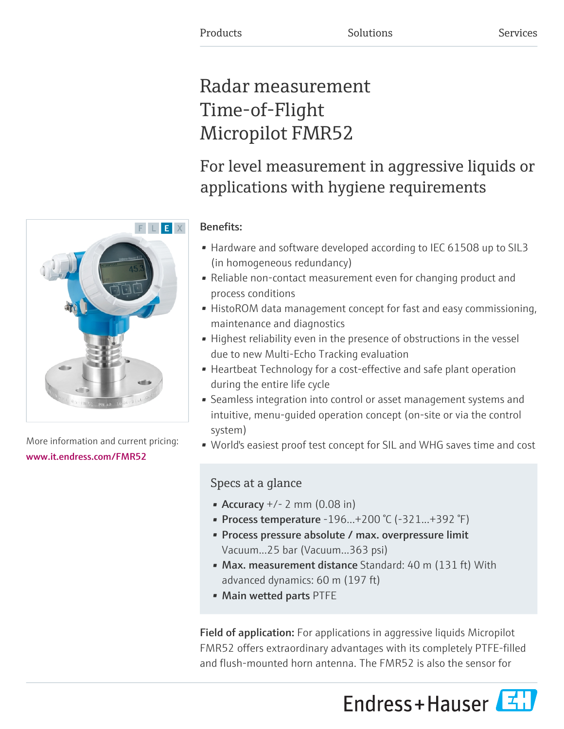# Radar measurement Time-of-Flight Micropilot FMR52

# For level measurement in aggressive liquids or applications with hygiene requirements

# Benefits:

- Hardware and software developed according to IEC 61508 up to SIL3 (in homogeneous redundancy)
- Reliable non-contact measurement even for changing product and process conditions
- HistoROM data management concept for fast and easy commissioning, maintenance and diagnostics
- Highest reliability even in the presence of obstructions in the vessel due to new Multi-Echo Tracking evaluation
- Heartbeat Technology for a cost-effective and safe plant operation during the entire life cycle
- Seamless integration into control or asset management systems and intuitive, menu-guided operation concept (on-site or via the control system)
- World's easiest proof test concept for SIL and WHG saves time and cost

# Specs at a glance

- Accuracy  $+/- 2$  mm (0.08 in)
- Process temperature  $-196...+200$  °C ( $-321...+392$  °F)
- Process pressure absolute / max. overpressure limit Vacuum...25 bar (Vacuum...363 psi)
- Max. measurement distance Standard: 40 m (131 ft) With advanced dynamics: 60 m (197 ft)
- Main wetted parts PTFE

Field of application: For applications in aggressive liquids Micropilot FMR52 offers extraordinary advantages with its completely PTFE-filled and flush-mounted horn antenna. The FMR52 is also the sensor for





More information and current pricing: [www.it.endress.com/FMR52](https://www.it.endress.com/FMR52)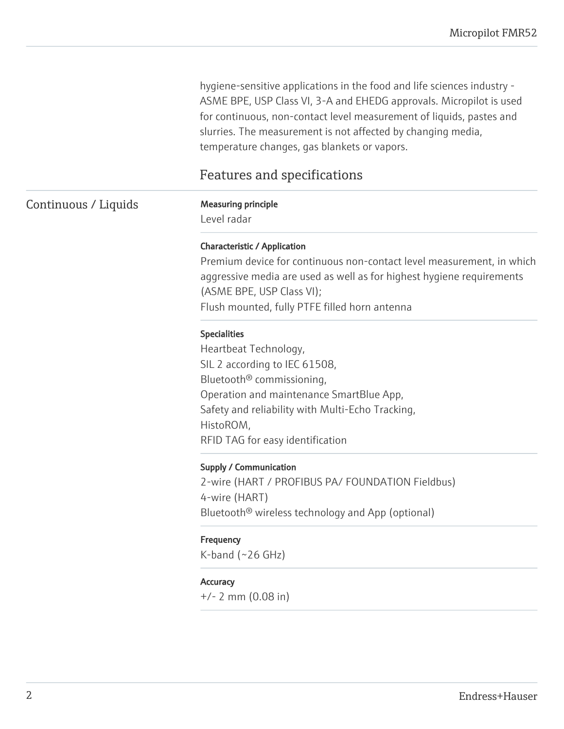hygiene-sensitive applications in the food and life sciences industry - ASME BPE, USP Class VI, 3-A and EHEDG approvals. Micropilot is used for continuous, non-contact level measurement of liquids, pastes and slurries. The measurement is not affected by changing media, temperature changes, gas blankets or vapors.

# Features and specifications

## **Measuring principle**

Level radar

## Characteristic / Application

Premium device for continuous non-contact level measurement, in which aggressive media are used as well as for highest hygiene requirements (ASME BPE, USP Class VI); Flush mounted, fully PTFE filled horn antenna

## Specialities

Heartbeat Technology, SIL 2 according to IEC 61508, Bluetooth® commissioning, Operation and maintenance SmartBlue App, Safety and reliability with Multi-Echo Tracking, HistoROM, RFID TAG for easy identification

## Supply / Communication

2-wire (HART / PROFIBUS PA/ FOUNDATION Fieldbus) 4-wire (HART) Bluetooth® wireless technology and App (optional)

## Frequency

 $K$ -band (~26 GHz)

## **Accuracy**

+/- 2 mm (0.08 in)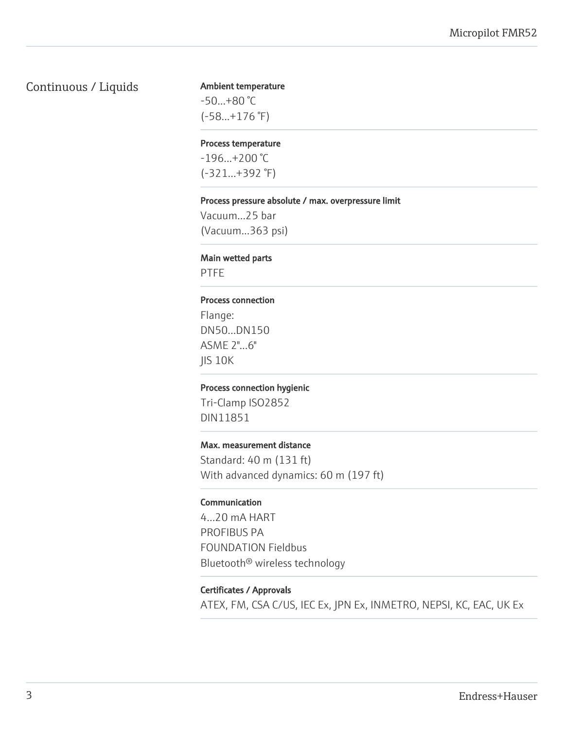## Continuous / Liquids

#### Ambient temperature

-50...+80 °C (-58...+176 °F)

#### Process temperature

 $-196...+200$  °C (-321...+392 °F)

#### Process pressure absolute / max. overpressure limit

Vacuum...25 bar (Vacuum...363 psi)

#### Main wetted parts

PTFE

#### Process connection

Flange: DN50...DN150 ASME 2"...6" JIS 10K

#### Process connection hygienic

Tri-Clamp ISO2852 DIN11851

#### Max. measurement distance

Standard: 40 m (131 ft) With advanced dynamics: 60 m (197 ft)

#### Communication

4...20 mA HART PROFIBUS PA FOUNDATION Fieldbus Bluetooth® wireless technology

# Certificates / Approvals

ATEX, FM, CSA C/US, IEC Ex, JPN Ex, INMETRO, NEPSI, KC, EAC, UK Ex